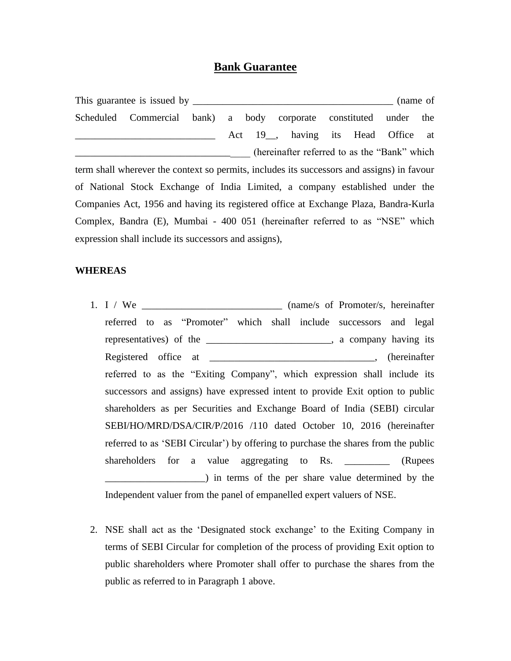## **Bank Guarantee**

This guarantee is issued by \_\_\_\_\_\_\_\_\_\_\_\_\_\_\_\_\_\_\_\_\_\_\_\_\_\_\_\_\_\_\_\_\_\_\_\_\_\_\_\_ (name of Scheduled Commercial bank) a body corporate constituted under the \_\_\_\_\_\_\_\_\_\_\_\_\_\_\_\_\_\_\_\_\_\_\_\_\_\_\_\_ Act 19\_\_, having its Head Office at (hereinafter referred to as the "Bank" which term shall wherever the context so permits, includes its successors and assigns) in favour of National Stock Exchange of India Limited, a company established under the Companies Act, 1956 and having its registered office at Exchange Plaza, Bandra-Kurla Complex, Bandra (E), Mumbai - 400 051 (hereinafter referred to as "NSE" which expression shall include its successors and assigns),

## **WHEREAS**

- 1. I / We \_\_\_\_\_\_\_\_\_\_\_\_\_\_\_\_\_\_\_\_\_\_\_\_\_\_\_\_ (name/s of Promoter/s, hereinafter referred to as "Promoter" which shall include successors and legal representatives) of the \_\_\_\_\_\_\_\_\_\_\_\_\_\_\_\_\_\_\_\_\_\_\_\_\_, a company having its Registered office at \_\_\_\_\_\_\_\_\_\_\_\_\_\_\_\_\_\_\_\_\_\_\_\_\_\_\_\_\_\_\_\_, (hereinafter referred to as the "Exiting Company", which expression shall include its successors and assigns) have expressed intent to provide Exit option to public shareholders as per Securities and Exchange Board of India (SEBI) circular SEBI/HO/MRD/DSA/CIR/P/2016 /110 dated October 10, 2016 (hereinafter referred to as 'SEBI Circular') by offering to purchase the shares from the public shareholders for a value aggregating to Rs. \_\_\_\_\_\_\_\_\_\_ (Rupees \_\_\_\_\_\_\_\_\_\_\_\_\_\_\_\_\_\_\_\_) in terms of the per share value determined by the Independent valuer from the panel of empanelled expert valuers of NSE.
- 2. NSE shall act as the 'Designated stock exchange' to the Exiting Company in terms of SEBI Circular for completion of the process of providing Exit option to public shareholders where Promoter shall offer to purchase the shares from the public as referred to in Paragraph 1 above.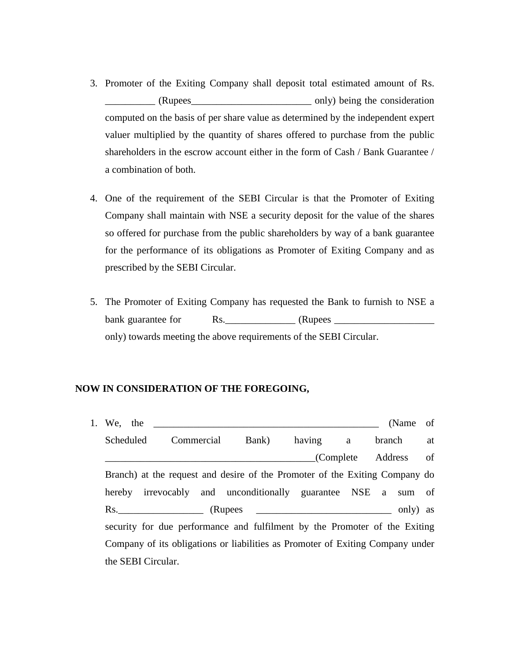- 3. Promoter of the Exiting Company shall deposit total estimated amount of Rs. \_\_\_\_\_\_\_\_\_\_ (Rupees\_\_\_\_\_\_\_\_\_\_\_\_\_\_\_\_\_\_\_\_\_\_\_\_ only) being the consideration computed on the basis of per share value as determined by the independent expert valuer multiplied by the quantity of shares offered to purchase from the public shareholders in the escrow account either in the form of Cash / Bank Guarantee / a combination of both.
- 4. One of the requirement of the SEBI Circular is that the Promoter of Exiting Company shall maintain with NSE a security deposit for the value of the shares so offered for purchase from the public shareholders by way of a bank guarantee for the performance of its obligations as Promoter of Exiting Company and as prescribed by the SEBI Circular.
- 5. The Promoter of Exiting Company has requested the Bank to furnish to NSE a bank guarantee for Rs.\_\_\_\_\_\_\_\_\_\_\_\_\_\_ (Rupees \_\_\_\_\_\_\_\_\_\_\_\_\_\_\_\_\_\_\_\_ only) towards meeting the above requirements of the SEBI Circular.

## **NOW IN CONSIDERATION OF THE FOREGOING,**

1. We, the Contract the CName of CName of CName of CName of CName of CName of CName of CName of CName of CName of CName of CName of CName of CName of CName of CName of CName of CName of CName of CName of CName of CName of Scheduled Commercial Bank) having a branch at \_\_\_\_\_\_\_\_\_\_\_\_\_\_\_\_\_\_\_\_\_\_\_\_\_\_\_\_\_\_\_\_\_\_\_\_\_\_\_\_\_\_(Complete Address of Branch) at the request and desire of the Promoter of the Exiting Company do hereby irrevocably and unconditionally guarantee NSE a sum of Rs. CRUPERS CONSERVERS CONSERVERS (RUPERS CONSERVERS) AS security for due performance and fulfilment by the Promoter of the Exiting Company of its obligations or liabilities as Promoter of Exiting Company under the SEBI Circular.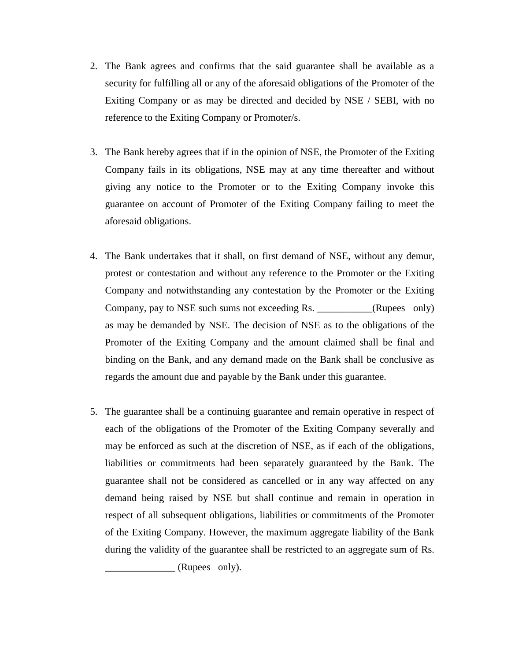- 2. The Bank agrees and confirms that the said guarantee shall be available as a security for fulfilling all or any of the aforesaid obligations of the Promoter of the Exiting Company or as may be directed and decided by NSE / SEBI, with no reference to the Exiting Company or Promoter/s.
- 3. The Bank hereby agrees that if in the opinion of NSE, the Promoter of the Exiting Company fails in its obligations, NSE may at any time thereafter and without giving any notice to the Promoter or to the Exiting Company invoke this guarantee on account of Promoter of the Exiting Company failing to meet the aforesaid obligations.
- 4. The Bank undertakes that it shall, on first demand of NSE, without any demur, protest or contestation and without any reference to the Promoter or the Exiting Company and notwithstanding any contestation by the Promoter or the Exiting Company, pay to NSE such sums not exceeding Rs. (Rupees only) as may be demanded by NSE. The decision of NSE as to the obligations of the Promoter of the Exiting Company and the amount claimed shall be final and binding on the Bank, and any demand made on the Bank shall be conclusive as regards the amount due and payable by the Bank under this guarantee.
- 5. The guarantee shall be a continuing guarantee and remain operative in respect of each of the obligations of the Promoter of the Exiting Company severally and may be enforced as such at the discretion of NSE, as if each of the obligations, liabilities or commitments had been separately guaranteed by the Bank. The guarantee shall not be considered as cancelled or in any way affected on any demand being raised by NSE but shall continue and remain in operation in respect of all subsequent obligations, liabilities or commitments of the Promoter of the Exiting Company. However, the maximum aggregate liability of the Bank during the validity of the guarantee shall be restricted to an aggregate sum of Rs.

 $\angle$  (Rupees only).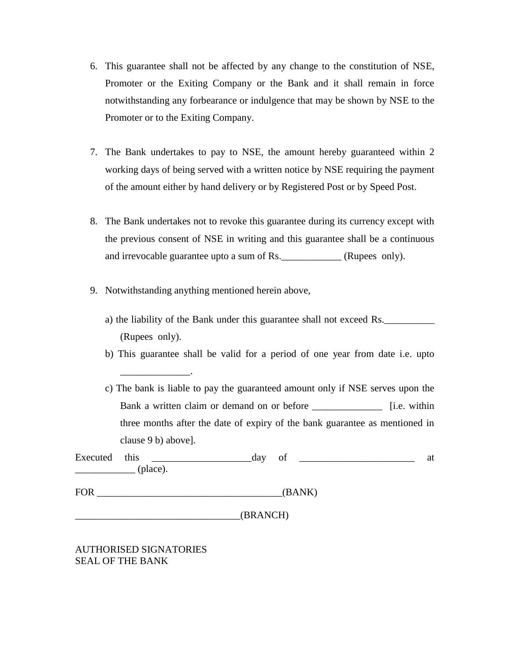- 6. This guarantee shall not be affected by any change to the constitution of NSE, Promoter or the Exiting Company or the Bank and it shall remain in force notwithstanding any forbearance or indulgence that may be shown by NSE to the Promoter or to the Exiting Company.
- 7. The Bank undertakes to pay to NSE, the amount hereby guaranteed within 2 working days of being served with a written notice by NSE requiring the payment of the amount either by hand delivery or by Registered Post or by Speed Post.
- 8. The Bank undertakes not to revoke this guarantee during its currency except with the previous consent of NSE in writing and this guarantee shall be a continuous and irrevocable guarantee upto a sum of Rs. \_\_\_\_\_\_\_\_\_\_\_\_ (Rupees only).
- 9. Notwithstanding anything mentioned herein above,
	- a) the liability of the Bank under this guarantee shall not exceed Rs. (Rupees only).
	- b) This guarantee shall be valid for a period of one year from date i.e. upto

| c) The bank is liable to pay the guaranteed amount only if NSE serves upon the |                       |
|--------------------------------------------------------------------------------|-----------------------|
| Bank a written claim or demand on or before                                    | [ <i>i.e.</i> within] |
| three months after the date of expiry of the bank guarantee as mentioned in    |                       |
| clause 9 b) above.                                                             |                       |

| Executed | this     | dav | ΟÌ | ai |
|----------|----------|-----|----|----|
|          | (place). |     |    |    |

FOR GANK)

\_\_\_\_\_\_\_\_\_\_\_\_\_\_\_\_\_\_\_\_\_\_\_\_\_\_\_\_\_\_\_\_\_(BRANCH)

AUTHORISED SIGNATORIES SEAL OF THE BANK

\_\_\_\_\_\_\_\_\_\_\_\_\_\_.